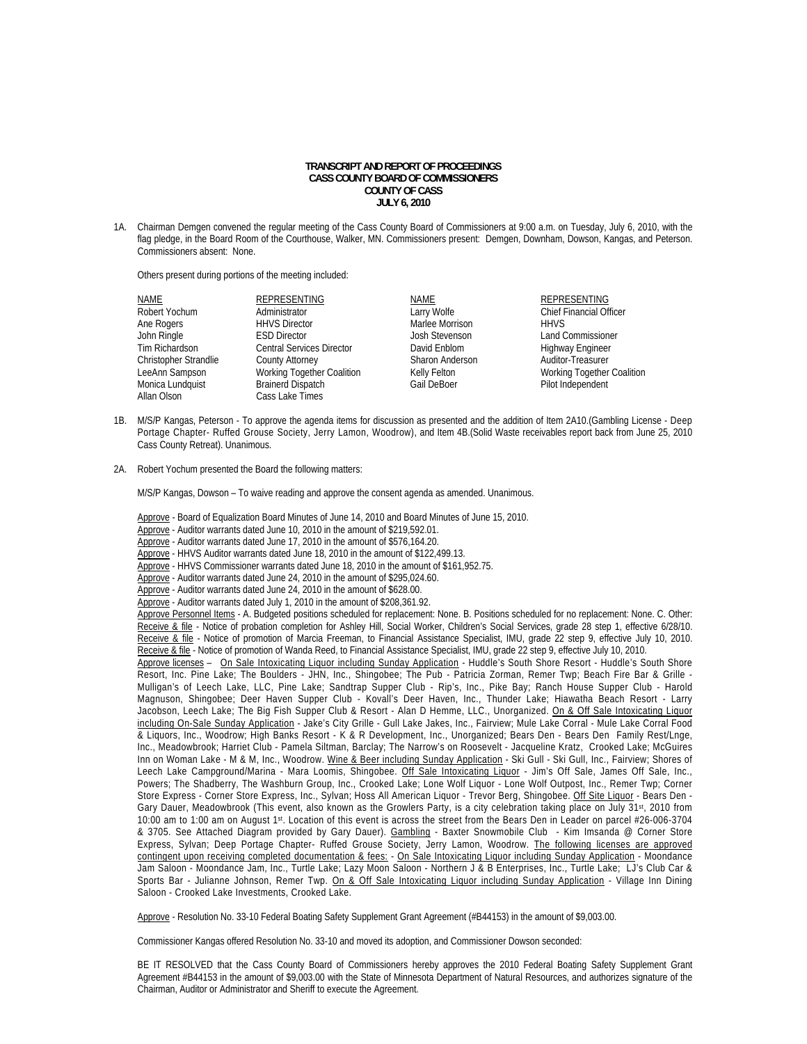## **TRANSCRIPT AND REPORT OF PROCEEDINGS CASS COUNTY BOARD OF COMMISSIONERS COUNTY OF CASS JULY 6, 2010**

1A. Chairman Demgen convened the regular meeting of the Cass County Board of Commissioners at 9:00 a.m. on Tuesday, July 6, 2010, with the flag pledge, in the Board Room of the Courthouse, Walker, MN. Commissioners present: Demgen, Downham, Dowson, Kangas, and Peterson. Commissioners absent: None.

Others present during portions of the meeting included:

| <b>NAME</b>           | <b>REPRESENTING</b>              | NAME            | <b>REPRESENTING</b>            |
|-----------------------|----------------------------------|-----------------|--------------------------------|
| Robert Yochum         | Administrator                    | Larry Wolfe     | <b>Chief Financial Officer</b> |
| Ane Rogers            | <b>HHVS Director</b>             | Marlee Morrison | <b>HHVS</b>                    |
| John Ringle           | <b>ESD Director</b>              | Josh Stevenson  | <b>Land Commissioner</b>       |
| Tim Richardson        | <b>Central Services Director</b> | David Enblom    | Highway Engineer               |
| Christopher Strandlie | <b>County Attorney</b>           | Sharon Anderson | Auditor-Treasurer              |
| LeeAnn Sampson        | Working Together Coalition       | Kelly Felton    | Working Together Coalition     |
| Monica Lundquist      | <b>Brainerd Dispatch</b>         | Gail DeBoer     | Pilot Independent              |
| Allan Olson           | Cass Lake Times                  |                 |                                |

- 1B. M/S/P Kangas, Peterson To approve the agenda items for discussion as presented and the addition of Item 2A10.(Gambling License Deep Portage Chapter- Ruffed Grouse Society, Jerry Lamon, Woodrow), and Item 4B.(Solid Waste receivables report back from June 25, 2010 Cass County Retreat). Unanimous.
- 2A. Robert Yochum presented the Board the following matters:

M/S/P Kangas, Dowson – To waive reading and approve the consent agenda as amended. Unanimous.

- Approve Board of Equalization Board Minutes of June 14, 2010 and Board Minutes of June 15, 2010. Approve - Auditor warrants dated June 10, 2010 in the amount of \$219,592.01.
- Approve Auditor warrants dated June 17, 2010 in the amount of \$576,164.20.
- Approve HHVS Auditor warrants dated June 18, 2010 in the amount of \$122,499.13.
- Approve HHVS Commissioner warrants dated June 18, 2010 in the amount of \$161,952.75.
- Approve Auditor warrants dated June 24, 2010 in the amount of \$295,024.60.
- Approve Auditor warrants dated June 24, 2010 in the amount of \$628.00.
- Approve Auditor warrants dated July 1, 2010 in the amount of \$208,361.92.

Approve Personnel Items - A. Budgeted positions scheduled for replacement: None. B. Positions scheduled for no replacement: None. C. Other: Receive & file - Notice of probation completion for Ashley Hill, Social Worker, Children's Social Services, grade 28 step 1, effective 6/28/10. Receive & file - Notice of promotion of Marcia Freeman, to Financial Assistance Specialist, IMU, grade 22 step 9, effective July 10, 2010. Receive & file - Notice of promotion of Wanda Reed, to Financial Assistance Specialist, IMU, grade 22 step 9, effective July 10, 2010.

Approve licenses – On Sale Intoxicating Liquor including Sunday Application - Huddle's South Shore Resort - Huddle's South Shore Resort, Inc. Pine Lake; The Boulders - JHN, Inc., Shingobee; The Pub - Patricia Zorman, Remer Twp; Beach Fire Bar & Grille - Mulligan's of Leech Lake, LLC, Pine Lake; Sandtrap Supper Club - Rip's, Inc., Pike Bay; Ranch House Supper Club - Harold Magnuson, Shingobee; Deer Haven Supper Club - Kovall's Deer Haven, Inc., Thunder Lake; Hiawatha Beach Resort - Larry Jacobson, Leech Lake; The Big Fish Supper Club & Resort - Alan D Hemme, LLC., Unorganized. On & Off Sale Intoxicating Liquor including On-Sale Sunday Application - Jake's City Grille - Gull Lake Jakes, Inc., Fairview; Mule Lake Corral - Mule Lake Corral Food & Liquors, Inc., Woodrow; High Banks Resort - K & R Development, Inc., Unorganized; Bears Den - Bears Den Family Rest/Lnge, Inc., Meadowbrook; Harriet Club - Pamela Siltman, Barclay; The Narrow's on Roosevelt - Jacqueline Kratz, Crooked Lake; McGuires Inn on Woman Lake - M & M, Inc., Woodrow. Wine & Beer including Sunday Application - Ski Gull - Ski Gull, Inc., Fairview; Shores of Leech Lake Campground/Marina - Mara Loomis, Shingobee. Off Sale Intoxicating Liquor - Jim's Off Sale, James Off Sale, Inc., Powers; The Shadberry, The Washburn Group, Inc., Crooked Lake; Lone Wolf Liquor - Lone Wolf Outpost, Inc., Remer Twp; Corner Store Express - Corner Store Express, Inc., Sylvan; Hoss All American Liquor - Trevor Berg, Shingobee. Off Site Liquor - Bears Den -Gary Dauer, Meadowbrook (This event, also known as the Growlers Party, is a city celebration taking place on July 31st, 2010 from 10:00 am to 1:00 am on August 1st. Location of this event is across the street from the Bears Den in Leader on parcel #26-006-3704 & 3705. See Attached Diagram provided by Gary Dauer). Gambling - Baxter Snowmobile Club - Kim Imsanda @ Corner Store Express, Sylvan; Deep Portage Chapter- Ruffed Grouse Society, Jerry Lamon, Woodrow. The following licenses are approved contingent upon receiving completed documentation & fees: - On Sale Intoxicating Liquor including Sunday Application - Moondance Jam Saloon - Moondance Jam, Inc., Turtle Lake; Lazy Moon Saloon - Northern J & B Enterprises, Inc., Turtle Lake; LJ's Club Car & Sports Bar - Julianne Johnson, Remer Twp. On & Off Sale Intoxicating Liquor including Sunday Application - Village Inn Dining Saloon - Crooked Lake Investments, Crooked Lake.

Approve - Resolution No. 33-10 Federal Boating Safety Supplement Grant Agreement (#B44153) in the amount of \$9,003.00.

Commissioner Kangas offered Resolution No. 33-10 and moved its adoption, and Commissioner Dowson seconded:

BE IT RESOLVED that the Cass County Board of Commissioners hereby approves the 2010 Federal Boating Safety Supplement Grant Agreement #B44153 in the amount of \$9,003.00 with the State of Minnesota Department of Natural Resources, and authorizes signature of the Chairman, Auditor or Administrator and Sheriff to execute the Agreement.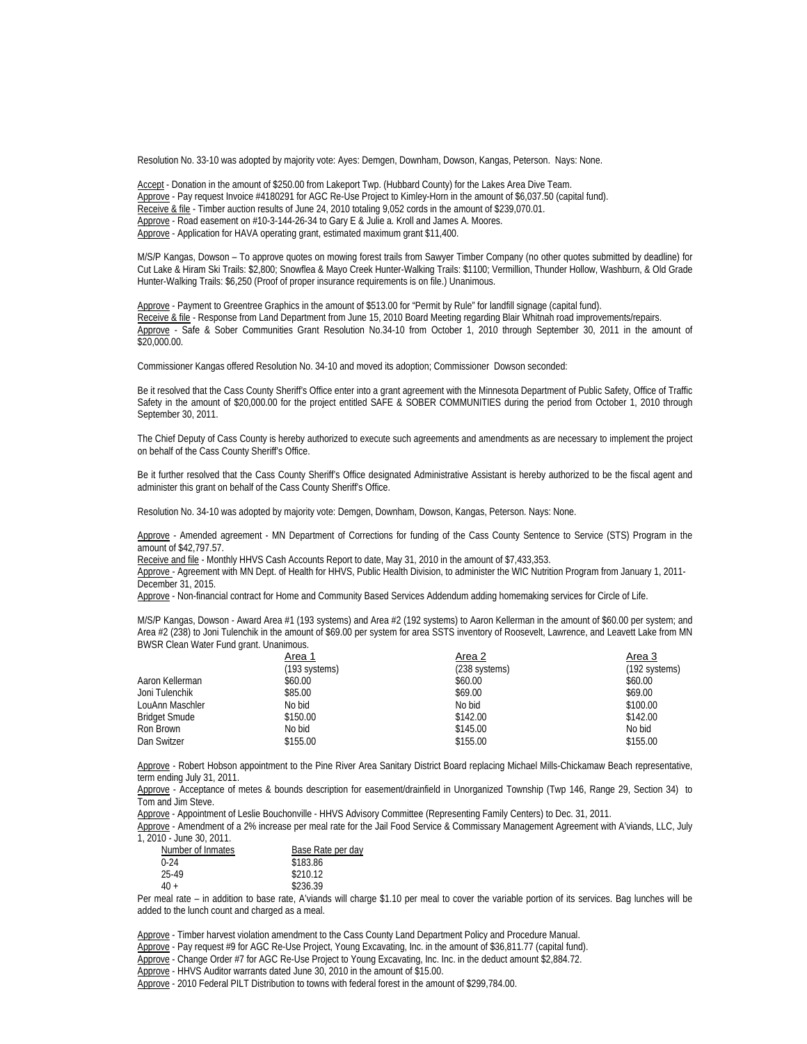Resolution No. 33-10 was adopted by majority vote: Ayes: Demgen, Downham, Dowson, Kangas, Peterson. Nays: None.

 Accept - Donation in the amount of \$250.00 from Lakeport Twp. (Hubbard County) for the Lakes Area Dive Team. Approve - Pay request Invoice #4180291 for AGC Re-Use Project to Kimley-Horn in the amount of \$6,037.50 (capital fund). Receive & file - Timber auction results of June 24, 2010 totaling 9,052 cords in the amount of \$239,070.01. Approve - Road easement on #10-3-144-26-34 to Gary E & Julie a. Kroll and James A. Moores. Approve - Application for HAVA operating grant, estimated maximum grant \$11,400.

M/S/P Kangas, Dowson – To approve quotes on mowing forest trails from Sawyer Timber Company (no other quotes submitted by deadline) for Cut Lake & Hiram Ski Trails: \$2,800; Snowflea & Mayo Creek Hunter-Walking Trails: \$1100; Vermillion, Thunder Hollow, Washburn, & Old Grade Hunter-Walking Trails: \$6,250 (Proof of proper insurance requirements is on file.) Unanimous.

 Approve - Payment to Greentree Graphics in the amount of \$513.00 for "Permit by Rule" for landfill signage (capital fund). Receive & file - Response from Land Department from June 15, 2010 Board Meeting regarding Blair Whitnah road improvements/repairs. Approve - Safe & Sober Communities Grant Resolution No.34-10 from October 1, 2010 through September 30, 2011 in the amount of  $\overline{$20,000.00}$ .

Commissioner Kangas offered Resolution No. 34-10 and moved its adoption; Commissioner Dowson seconded:

Be it resolved that the Cass County Sheriff's Office enter into a grant agreement with the Minnesota Department of Public Safety, Office of Traffic Safety in the amount of \$20,000.00 for the project entitled SAFE & SOBER COMMUNITIES during the period from October 1, 2010 through September 30, 2011.

The Chief Deputy of Cass County is hereby authorized to execute such agreements and amendments as are necessary to implement the project on behalf of the Cass County Sheriff's Office.

Be it further resolved that the Cass County Sheriff's Office designated Administrative Assistant is hereby authorized to be the fiscal agent and administer this grant on behalf of the Cass County Sheriff's Office.

Resolution No. 34-10 was adopted by majority vote: Demgen, Downham, Dowson, Kangas, Peterson. Nays: None.

Approve - Amended agreement - MN Department of Corrections for funding of the Cass County Sentence to Service (STS) Program in the amount of \$42,797.57.

Receive and file - Monthly HHVS Cash Accounts Report to date, May 31, 2010 in the amount of \$7,433,353.

Approve - Agreement with MN Dept. of Health for HHVS, Public Health Division, to administer the WIC Nutrition Program from January 1, 2011-December 31, 2015.

Approve - Non-financial contract for Home and Community Based Services Addendum adding homemaking services for Circle of Life.

 M/S/P Kangas, Dowson - Award Area #1 (193 systems) and Area #2 (192 systems) to Aaron Kellerman in the amount of \$60.00 per system; and Area #2 (238) to Joni Tulenchik in the amount of \$69.00 per system for area SSTS inventory of Roosevelt, Lawrence, and Leavett Lake from MN BWSR Clean Water Fund grant. Unanimous.

| Area 2        | Area 3        |
|---------------|---------------|
| (238 systems) | (192 systems) |
| \$60.00       | \$60.00       |
| \$69.00       | \$69.00       |
| No bid        | \$100.00      |
| \$142.00      | \$142.00      |
| \$145.00      | No bid        |
| \$155.00      | \$155.00      |
|               |               |

 Approve - Robert Hobson appointment to the Pine River Area Sanitary District Board replacing Michael Mills-Chickamaw Beach representative, term ending July 31, 2011.

 Approve - Acceptance of metes & bounds description for easement/drainfield in Unorganized Township (Twp 146, Range 29, Section 34) to Tom and Jim Steve.

Approve - Appointment of Leslie Bouchonville - HHVS Advisory Committee (Representing Family Centers) to Dec. 31, 2011.

Approve - Amendment of a 2% increase per meal rate for the Jail Food Service & Commissary Management Agreement with A'viands, LLC, July 1, 2010 - June 30, 2011.

| Base Rate per day |  |
|-------------------|--|
| \$183.86          |  |
| \$210.12          |  |
| \$236.39          |  |
|                   |  |

Per meal rate – in addition to base rate, A'viands will charge \$1.10 per meal to cover the variable portion of its services. Bag lunches will be added to the lunch count and charged as a meal.

Approve - Timber harvest violation amendment to the Cass County Land Department Policy and Procedure Manual.

Approve - Pay request #9 for AGC Re-Use Project, Young Excavating, Inc. in the amount of \$36,811.77 (capital fund).

Approve - Change Order #7 for AGC Re-Use Project to Young Excavating, Inc. Inc. in the deduct amount \$2,884.72.

Approve - HHVS Auditor warrants dated June 30, 2010 in the amount of \$15.00.

Approve - 2010 Federal PILT Distribution to towns with federal forest in the amount of \$299,784.00.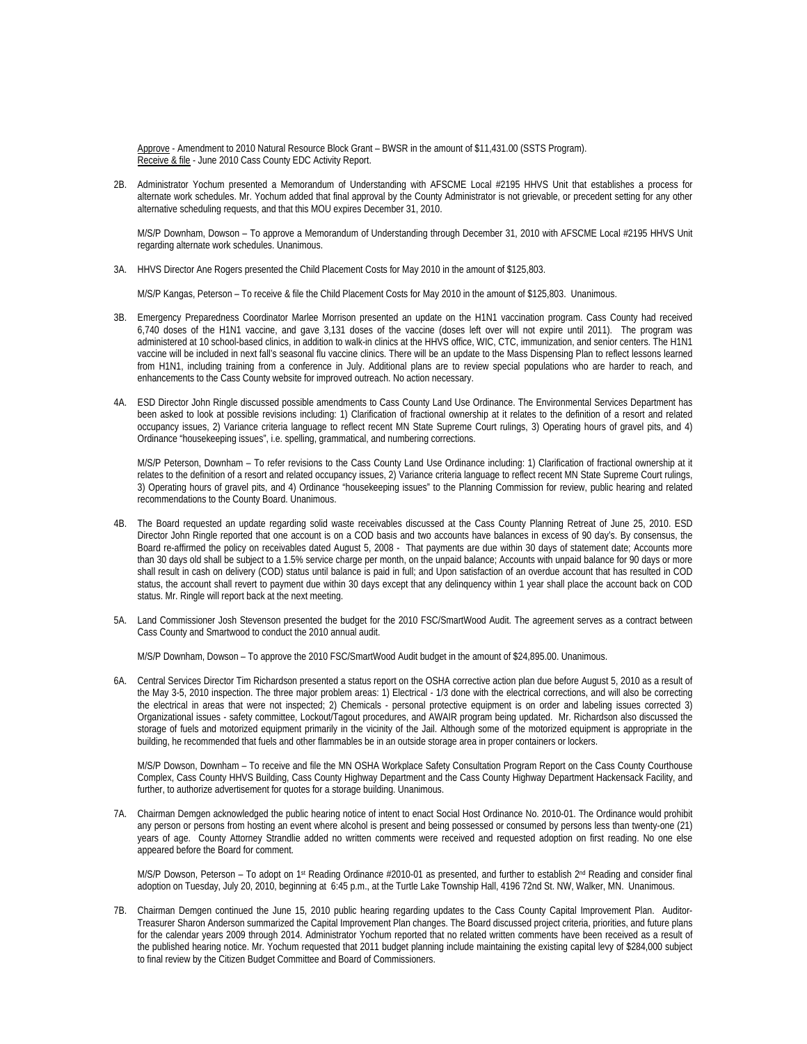Approve - Amendment to 2010 Natural Resource Block Grant - BWSR in the amount of \$11,431.00 (SSTS Program). Receive & file - June 2010 Cass County EDC Activity Report.

2B. Administrator Yochum presented a Memorandum of Understanding with AFSCME Local #2195 HHVS Unit that establishes a process for alternate work schedules. Mr. Yochum added that final approval by the County Administrator is not grievable, or precedent setting for any other alternative scheduling requests, and that this MOU expires December 31, 2010.

M/S/P Downham, Dowson – To approve a Memorandum of Understanding through December 31, 2010 with AFSCME Local #2195 HHVS Unit regarding alternate work schedules. Unanimous.

3A. HHVS Director Ane Rogers presented the Child Placement Costs for May 2010 in the amount of \$125,803.

M/S/P Kangas, Peterson – To receive & file the Child Placement Costs for May 2010 in the amount of \$125,803. Unanimous.

- 3B. Emergency Preparedness Coordinator Marlee Morrison presented an update on the H1N1 vaccination program. Cass County had received 6,740 doses of the H1N1 vaccine, and gave 3,131 doses of the vaccine (doses left over will not expire until 2011). The program was administered at 10 school-based clinics, in addition to walk-in clinics at the HHVS office, WIC, CTC, immunization, and senior centers. The H1N1 vaccine will be included in next fall's seasonal flu vaccine clinics. There will be an update to the Mass Dispensing Plan to reflect lessons learned from H1N1, including training from a conference in July. Additional plans are to review special populations who are harder to reach, and enhancements to the Cass County website for improved outreach. No action necessary.
- 4A. ESD Director John Ringle discussed possible amendments to Cass County Land Use Ordinance. The Environmental Services Department has been asked to look at possible revisions including: 1) Clarification of fractional ownership at it relates to the definition of a resort and related occupancy issues, 2) Variance criteria language to reflect recent MN State Supreme Court rulings, 3) Operating hours of gravel pits, and 4) Ordinance "housekeeping issues", i.e. spelling, grammatical, and numbering corrections.

M/S/P Peterson, Downham – To refer revisions to the Cass County Land Use Ordinance including: 1) Clarification of fractional ownership at it relates to the definition of a resort and related occupancy issues, 2) Variance criteria language to reflect recent MN State Supreme Court rulings, 3) Operating hours of gravel pits, and 4) Ordinance "housekeeping issues" to the Planning Commission for review, public hearing and related recommendations to the County Board. Unanimous.

- 4B. The Board requested an update regarding solid waste receivables discussed at the Cass County Planning Retreat of June 25, 2010. ESD Director John Ringle reported that one account is on a COD basis and two accounts have balances in excess of 90 day's. By consensus, the Board re-affirmed the policy on receivables dated August 5, 2008 - That payments are due within 30 days of statement date; Accounts more than 30 days old shall be subject to a 1.5% service charge per month, on the unpaid balance; Accounts with unpaid balance for 90 days or more shall result in cash on delivery (COD) status until balance is paid in full; and Upon satisfaction of an overdue account that has resulted in COD status, the account shall revert to payment due within 30 days except that any delinquency within 1 year shall place the account back on COD status. Mr. Ringle will report back at the next meeting.
- 5A. Land Commissioner Josh Stevenson presented the budget for the 2010 FSC/SmartWood Audit. The agreement serves as a contract between Cass County and Smartwood to conduct the 2010 annual audit.

M/S/P Downham, Dowson – To approve the 2010 FSC/SmartWood Audit budget in the amount of \$24,895.00. Unanimous.

6A. Central Services Director Tim Richardson presented a status report on the OSHA corrective action plan due before August 5, 2010 as a result of the May 3-5, 2010 inspection. The three major problem areas: 1) Electrical - 1/3 done with the electrical corrections, and will also be correcting the electrical in areas that were not inspected; 2) Chemicals - personal protective equipment is on order and labeling issues corrected 3) Organizational issues - safety committee, Lockout/Tagout procedures, and AWAIR program being updated. Mr. Richardson also discussed the storage of fuels and motorized equipment primarily in the vicinity of the Jail. Although some of the motorized equipment is appropriate in the building, he recommended that fuels and other flammables be in an outside storage area in proper containers or lockers.

M/S/P Dowson, Downham – To receive and file the MN OSHA Workplace Safety Consultation Program Report on the Cass County Courthouse Complex, Cass County HHVS Building, Cass County Highway Department and the Cass County Highway Department Hackensack Facility, and further, to authorize advertisement for quotes for a storage building. Unanimous.

7A. Chairman Demgen acknowledged the public hearing notice of intent to enact Social Host Ordinance No. 2010-01. The Ordinance would prohibit any person or persons from hosting an event where alcohol is present and being possessed or consumed by persons less than twenty-one (21) years of age. County Attorney Strandlie added no written comments were received and requested adoption on first reading. No one else appeared before the Board for comment.

M/S/P Dowson, Peterson – To adopt on 1<sup>st</sup> Reading Ordinance #2010-01 as presented, and further to establish 2<sup>nd</sup> Reading and consider final adoption on Tuesday, July 20, 2010, beginning at 6:45 p.m., at the Turtle Lake Township Hall, 4196 72nd St. NW, Walker, MN. Unanimous.

7B. Chairman Demgen continued the June 15, 2010 public hearing regarding updates to the Cass County Capital Improvement Plan. Auditor-Treasurer Sharon Anderson summarized the Capital Improvement Plan changes. The Board discussed project criteria, priorities, and future plans for the calendar years 2009 through 2014. Administrator Yochum reported that no related written comments have been received as a result of the published hearing notice. Mr. Yochum requested that 2011 budget planning include maintaining the existing capital levy of \$284,000 subject to final review by the Citizen Budget Committee and Board of Commissioners.